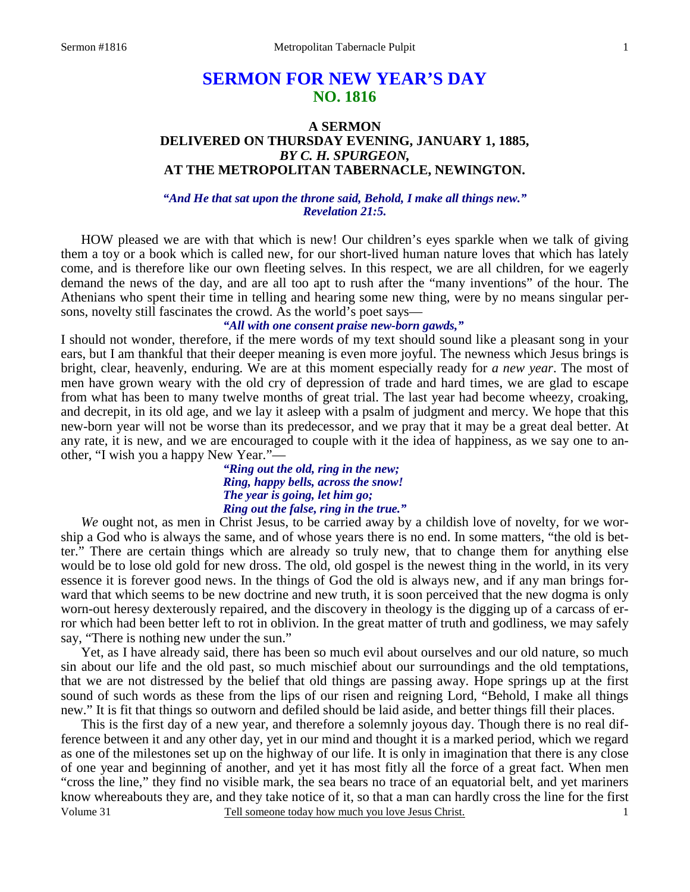# **SERMON FOR NEW YEAR'S DAY NO. 1816**

# **A SERMON DELIVERED ON THURSDAY EVENING, JANUARY 1, 1885,**  *BY C. H. SPURGEON,*  **AT THE METROPOLITAN TABERNACLE, NEWINGTON.**

*"And He that sat upon the throne said, Behold, I make all things new." Revelation 21:5.* 

 HOW pleased we are with that which is new! Our children's eyes sparkle when we talk of giving them a toy or a book which is called new, for our short-lived human nature loves that which has lately come, and is therefore like our own fleeting selves. In this respect, we are all children, for we eagerly demand the news of the day, and are all too apt to rush after the "many inventions" of the hour. The Athenians who spent their time in telling and hearing some new thing, were by no means singular persons, novelty still fascinates the crowd. As the world's poet says—

### *"All with one consent praise new-born gawds,"*

I should not wonder, therefore, if the mere words of my text should sound like a pleasant song in your ears, but I am thankful that their deeper meaning is even more joyful. The newness which Jesus brings is bright, clear, heavenly, enduring. We are at this moment especially ready for *a new year*. The most of men have grown weary with the old cry of depression of trade and hard times, we are glad to escape from what has been to many twelve months of great trial. The last year had become wheezy, croaking, and decrepit, in its old age, and we lay it asleep with a psalm of judgment and mercy. We hope that this new-born year will not be worse than its predecessor, and we pray that it may be a great deal better. At any rate, it is new, and we are encouraged to couple with it the idea of happiness, as we say one to another, "I wish you a happy New Year."—

> *"Ring out the old, ring in the new; Ring, happy bells, across the snow! The year is going, let him go; Ring out the false, ring in the true."*

 *We* ought not, as men in Christ Jesus, to be carried away by a childish love of novelty, for we worship a God who is always the same, and of whose years there is no end. In some matters, "the old is better." There are certain things which are already so truly new, that to change them for anything else would be to lose old gold for new dross. The old, old gospel is the newest thing in the world, in its very essence it is forever good news. In the things of God the old is always new, and if any man brings forward that which seems to be new doctrine and new truth, it is soon perceived that the new dogma is only worn-out heresy dexterously repaired, and the discovery in theology is the digging up of a carcass of error which had been better left to rot in oblivion. In the great matter of truth and godliness, we may safely say, "There is nothing new under the sun."

 Yet, as I have already said, there has been so much evil about ourselves and our old nature, so much sin about our life and the old past, so much mischief about our surroundings and the old temptations, that we are not distressed by the belief that old things are passing away. Hope springs up at the first sound of such words as these from the lips of our risen and reigning Lord, "Behold, I make all things new." It is fit that things so outworn and defiled should be laid aside, and better things fill their places.

Volume 31 Tell someone today how much you love Jesus Christ. This is the first day of a new year, and therefore a solemnly joyous day. Though there is no real difference between it and any other day, yet in our mind and thought it is a marked period, which we regard as one of the milestones set up on the highway of our life. It is only in imagination that there is any close of one year and beginning of another, and yet it has most fitly all the force of a great fact. When men "cross the line," they find no visible mark, the sea bears no trace of an equatorial belt, and yet mariners know whereabouts they are, and they take notice of it, so that a man can hardly cross the line for the first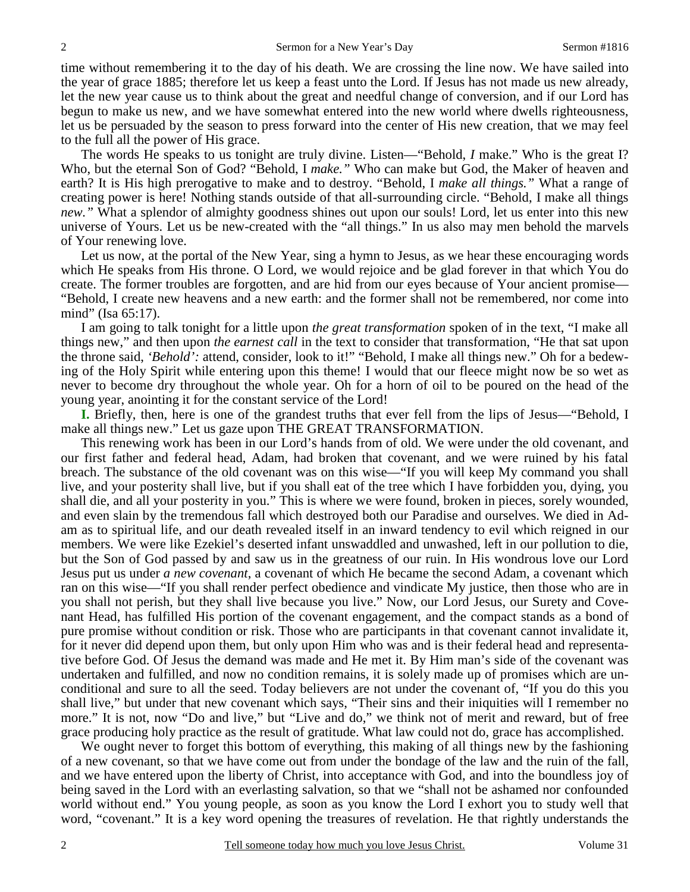time without remembering it to the day of his death. We are crossing the line now. We have sailed into the year of grace 1885; therefore let us keep a feast unto the Lord. If Jesus has not made us new already, let the new year cause us to think about the great and needful change of conversion, and if our Lord has begun to make us new, and we have somewhat entered into the new world where dwells righteousness, let us be persuaded by the season to press forward into the center of His new creation, that we may feel to the full all the power of His grace.

 The words He speaks to us tonight are truly divine. Listen—"Behold, *I* make." Who is the great I? Who, but the eternal Son of God? "Behold, I *make."* Who can make but God, the Maker of heaven and earth? It is His high prerogative to make and to destroy. "Behold, I *make all things."* What a range of creating power is here! Nothing stands outside of that all-surrounding circle. "Behold, I make all things *new."* What a splendor of almighty goodness shines out upon our souls! Lord, let us enter into this new universe of Yours. Let us be new-created with the "all things." In us also may men behold the marvels of Your renewing love.

 Let us now, at the portal of the New Year, sing a hymn to Jesus, as we hear these encouraging words which He speaks from His throne. O Lord, we would rejoice and be glad forever in that which You do create. The former troubles are forgotten, and are hid from our eyes because of Your ancient promise— "Behold, I create new heavens and a new earth: and the former shall not be remembered, nor come into mind" (Isa 65:17).

 I am going to talk tonight for a little upon *the great transformation* spoken of in the text, "I make all things new," and then upon *the earnest call* in the text to consider that transformation, "He that sat upon the throne said, *'Behold':* attend, consider, look to it!" "Behold, I make all things new." Oh for a bedewing of the Holy Spirit while entering upon this theme! I would that our fleece might now be so wet as never to become dry throughout the whole year. Oh for a horn of oil to be poured on the head of the young year, anointing it for the constant service of the Lord!

**I.** Briefly, then, here is one of the grandest truths that ever fell from the lips of Jesus—"Behold, I make all things new." Let us gaze upon THE GREAT TRANSFORMATION.

 This renewing work has been in our Lord's hands from of old. We were under the old covenant, and our first father and federal head, Adam, had broken that covenant, and we were ruined by his fatal breach. The substance of the old covenant was on this wise—"If you will keep My command you shall live, and your posterity shall live, but if you shall eat of the tree which I have forbidden you, dying, you shall die, and all your posterity in you." This is where we were found, broken in pieces, sorely wounded, and even slain by the tremendous fall which destroyed both our Paradise and ourselves. We died in Adam as to spiritual life, and our death revealed itself in an inward tendency to evil which reigned in our members. We were like Ezekiel's deserted infant unswaddled and unwashed, left in our pollution to die, but the Son of God passed by and saw us in the greatness of our ruin. In His wondrous love our Lord Jesus put us under *a new covenant*, a covenant of which He became the second Adam, a covenant which ran on this wise—"If you shall render perfect obedience and vindicate My justice, then those who are in you shall not perish, but they shall live because you live." Now, our Lord Jesus, our Surety and Covenant Head, has fulfilled His portion of the covenant engagement, and the compact stands as a bond of pure promise without condition or risk. Those who are participants in that covenant cannot invalidate it, for it never did depend upon them, but only upon Him who was and is their federal head and representative before God. Of Jesus the demand was made and He met it. By Him man's side of the covenant was undertaken and fulfilled, and now no condition remains, it is solely made up of promises which are unconditional and sure to all the seed. Today believers are not under the covenant of, "If you do this you shall live," but under that new covenant which says, "Their sins and their iniquities will I remember no more." It is not, now "Do and live," but "Live and do," we think not of merit and reward, but of free grace producing holy practice as the result of gratitude. What law could not do, grace has accomplished.

We ought never to forget this bottom of everything, this making of all things new by the fashioning of a new covenant, so that we have come out from under the bondage of the law and the ruin of the fall, and we have entered upon the liberty of Christ, into acceptance with God, and into the boundless joy of being saved in the Lord with an everlasting salvation, so that we "shall not be ashamed nor confounded world without end." You young people, as soon as you know the Lord I exhort you to study well that word, "covenant." It is a key word opening the treasures of revelation. He that rightly understands the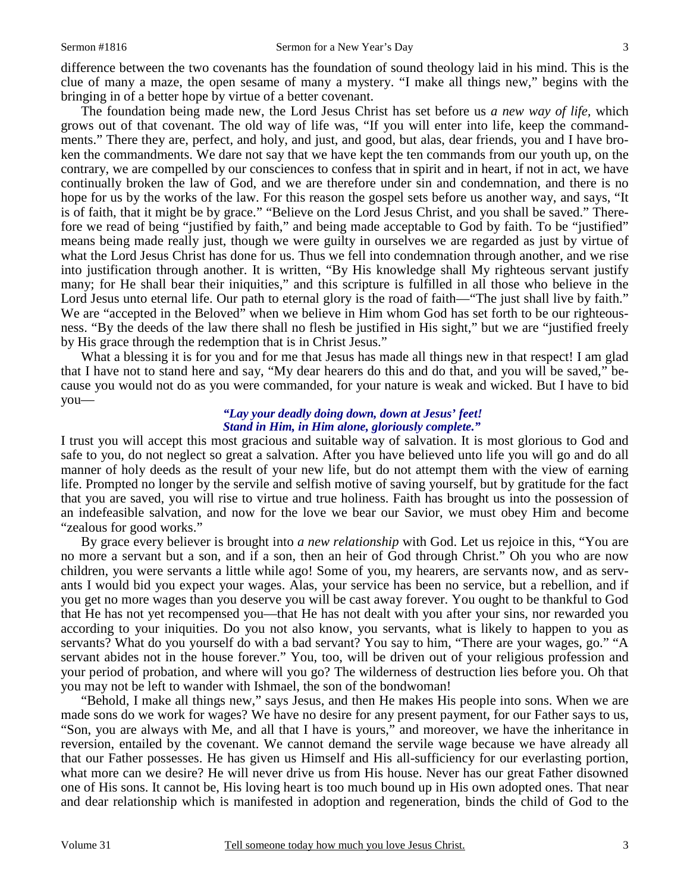difference between the two covenants has the foundation of sound theology laid in his mind. This is the clue of many a maze, the open sesame of many a mystery. "I make all things new," begins with the bringing in of a better hope by virtue of a better covenant.

 The foundation being made new, the Lord Jesus Christ has set before us *a new way of life,* which grows out of that covenant. The old way of life was, "If you will enter into life, keep the commandments." There they are, perfect, and holy, and just, and good, but alas, dear friends, you and I have broken the commandments. We dare not say that we have kept the ten commands from our youth up, on the contrary, we are compelled by our consciences to confess that in spirit and in heart, if not in act, we have continually broken the law of God, and we are therefore under sin and condemnation, and there is no hope for us by the works of the law. For this reason the gospel sets before us another way, and says, "It is of faith, that it might be by grace." "Believe on the Lord Jesus Christ, and you shall be saved." Therefore we read of being "justified by faith," and being made acceptable to God by faith. To be "justified" means being made really just, though we were guilty in ourselves we are regarded as just by virtue of what the Lord Jesus Christ has done for us. Thus we fell into condemnation through another, and we rise into justification through another. It is written, "By His knowledge shall My righteous servant justify many; for He shall bear their iniquities," and this scripture is fulfilled in all those who believe in the Lord Jesus unto eternal life. Our path to eternal glory is the road of faith—"The just shall live by faith." We are "accepted in the Beloved" when we believe in Him whom God has set forth to be our righteousness. "By the deeds of the law there shall no flesh be justified in His sight," but we are "justified freely by His grace through the redemption that is in Christ Jesus."

What a blessing it is for you and for me that Jesus has made all things new in that respect! I am glad that I have not to stand here and say, "My dear hearers do this and do that, and you will be saved," because you would not do as you were commanded, for your nature is weak and wicked. But I have to bid you—

### *"Lay your deadly doing down, down at Jesus' feet! Stand in Him, in Him alone, gloriously complete."*

I trust you will accept this most gracious and suitable way of salvation. It is most glorious to God and safe to you, do not neglect so great a salvation. After you have believed unto life you will go and do all manner of holy deeds as the result of your new life, but do not attempt them with the view of earning life. Prompted no longer by the servile and selfish motive of saving yourself, but by gratitude for the fact that you are saved, you will rise to virtue and true holiness. Faith has brought us into the possession of an indefeasible salvation, and now for the love we bear our Savior, we must obey Him and become "zealous for good works."

 By grace every believer is brought into *a new relationship* with God. Let us rejoice in this, "You are no more a servant but a son, and if a son, then an heir of God through Christ." Oh you who are now children, you were servants a little while ago! Some of you, my hearers, are servants now, and as servants I would bid you expect your wages. Alas, your service has been no service, but a rebellion, and if you get no more wages than you deserve you will be cast away forever. You ought to be thankful to God that He has not yet recompensed you—that He has not dealt with you after your sins, nor rewarded you according to your iniquities. Do you not also know, you servants, what is likely to happen to you as servants? What do you yourself do with a bad servant? You say to him, "There are your wages, go." "A servant abides not in the house forever." You, too, will be driven out of your religious profession and your period of probation, and where will you go? The wilderness of destruction lies before you. Oh that you may not be left to wander with Ishmael, the son of the bondwoman!

 "Behold, I make all things new," says Jesus, and then He makes His people into sons. When we are made sons do we work for wages? We have no desire for any present payment, for our Father says to us, "Son, you are always with Me, and all that I have is yours," and moreover, we have the inheritance in reversion, entailed by the covenant. We cannot demand the servile wage because we have already all that our Father possesses. He has given us Himself and His all-sufficiency for our everlasting portion, what more can we desire? He will never drive us from His house. Never has our great Father disowned one of His sons. It cannot be, His loving heart is too much bound up in His own adopted ones. That near and dear relationship which is manifested in adoption and regeneration, binds the child of God to the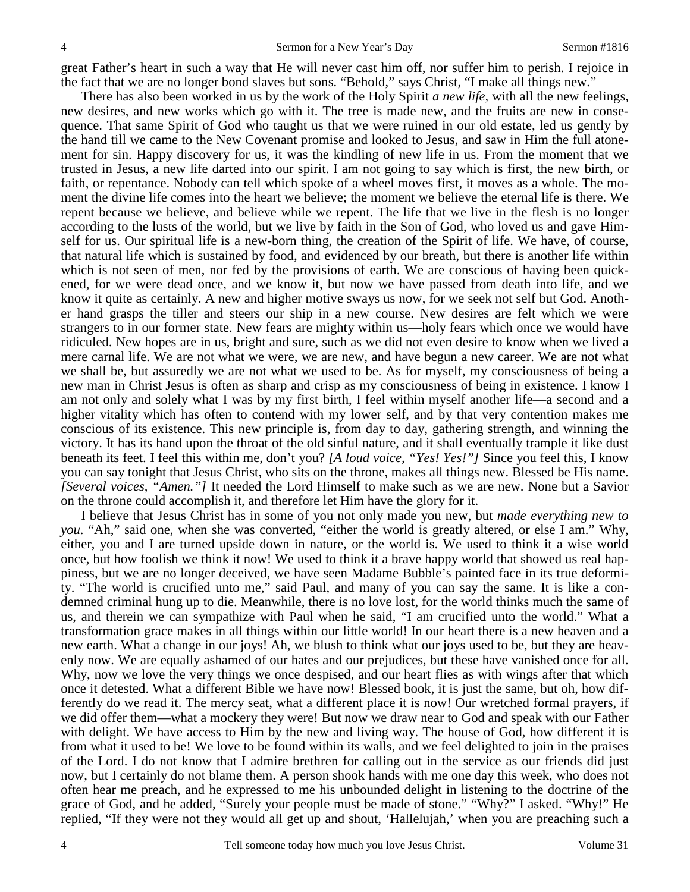great Father's heart in such a way that He will never cast him off, nor suffer him to perish. I rejoice in the fact that we are no longer bond slaves but sons. "Behold," says Christ, "I make all things new."

 There has also been worked in us by the work of the Holy Spirit *a new life,* with all the new feelings, new desires, and new works which go with it. The tree is made new, and the fruits are new in consequence. That same Spirit of God who taught us that we were ruined in our old estate, led us gently by the hand till we came to the New Covenant promise and looked to Jesus, and saw in Him the full atonement for sin. Happy discovery for us, it was the kindling of new life in us. From the moment that we trusted in Jesus, a new life darted into our spirit. I am not going to say which is first, the new birth, or faith, or repentance. Nobody can tell which spoke of a wheel moves first, it moves as a whole. The moment the divine life comes into the heart we believe; the moment we believe the eternal life is there. We repent because we believe, and believe while we repent. The life that we live in the flesh is no longer according to the lusts of the world, but we live by faith in the Son of God, who loved us and gave Himself for us. Our spiritual life is a new-born thing, the creation of the Spirit of life. We have, of course, that natural life which is sustained by food, and evidenced by our breath, but there is another life within which is not seen of men, nor fed by the provisions of earth. We are conscious of having been quickened, for we were dead once, and we know it, but now we have passed from death into life, and we know it quite as certainly. A new and higher motive sways us now, for we seek not self but God. Another hand grasps the tiller and steers our ship in a new course. New desires are felt which we were strangers to in our former state. New fears are mighty within us—holy fears which once we would have ridiculed. New hopes are in us, bright and sure, such as we did not even desire to know when we lived a mere carnal life. We are not what we were, we are new, and have begun a new career. We are not what we shall be, but assuredly we are not what we used to be. As for myself, my consciousness of being a new man in Christ Jesus is often as sharp and crisp as my consciousness of being in existence. I know I am not only and solely what I was by my first birth, I feel within myself another life—a second and a higher vitality which has often to contend with my lower self, and by that very contention makes me conscious of its existence. This new principle is, from day to day, gathering strength, and winning the victory. It has its hand upon the throat of the old sinful nature, and it shall eventually trample it like dust beneath its feet. I feel this within me, don't you? *[A loud voice, "Yes! Yes!"]* Since you feel this, I know you can say tonight that Jesus Christ, who sits on the throne, makes all things new. Blessed be His name. *[Several voices, "Amen."]* It needed the Lord Himself to make such as we are new. None but a Savior on the throne could accomplish it, and therefore let Him have the glory for it.

 I believe that Jesus Christ has in some of you not only made you new, but *made everything new to you*. "Ah," said one, when she was converted, "either the world is greatly altered, or else I am." Why, either, you and I are turned upside down in nature, or the world is. We used to think it a wise world once, but how foolish we think it now! We used to think it a brave happy world that showed us real happiness, but we are no longer deceived, we have seen Madame Bubble's painted face in its true deformity. "The world is crucified unto me," said Paul, and many of you can say the same. It is like a condemned criminal hung up to die. Meanwhile, there is no love lost, for the world thinks much the same of us, and therein we can sympathize with Paul when he said, "I am crucified unto the world." What a transformation grace makes in all things within our little world! In our heart there is a new heaven and a new earth. What a change in our joys! Ah, we blush to think what our joys used to be, but they are heavenly now. We are equally ashamed of our hates and our prejudices, but these have vanished once for all. Why, now we love the very things we once despised, and our heart flies as with wings after that which once it detested. What a different Bible we have now! Blessed book, it is just the same, but oh, how differently do we read it. The mercy seat, what a different place it is now! Our wretched formal prayers, if we did offer them—what a mockery they were! But now we draw near to God and speak with our Father with delight. We have access to Him by the new and living way. The house of God, how different it is from what it used to be! We love to be found within its walls, and we feel delighted to join in the praises of the Lord. I do not know that I admire brethren for calling out in the service as our friends did just now, but I certainly do not blame them. A person shook hands with me one day this week, who does not often hear me preach, and he expressed to me his unbounded delight in listening to the doctrine of the grace of God, and he added, "Surely your people must be made of stone." "Why?" I asked. "Why!" He replied, "If they were not they would all get up and shout, 'Hallelujah,' when you are preaching such a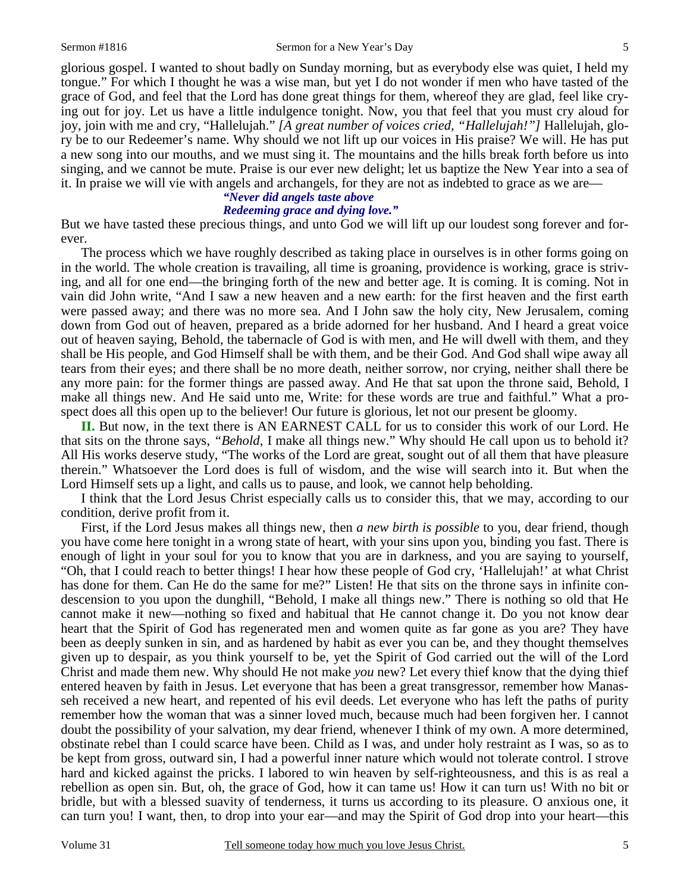glorious gospel. I wanted to shout badly on Sunday morning, but as everybody else was quiet, I held my tongue." For which I thought he was a wise man, but yet I do not wonder if men who have tasted of the grace of God, and feel that the Lord has done great things for them, whereof they are glad, feel like crying out for joy. Let us have a little indulgence tonight. Now, you that feel that you must cry aloud for joy, join with me and cry, "Hallelujah." *[A great number of voices cried, "Hallelujah!"]* Hallelujah, glory be to our Redeemer's name. Why should we not lift up our voices in His praise? We will. He has put a new song into our mouths, and we must sing it. The mountains and the hills break forth before us into singing, and we cannot be mute. Praise is our ever new delight; let us baptize the New Year into a sea of

it. In praise we will vie with angels and archangels, for they are not as indebted to grace as we are—

### *"Never did angels taste above Redeeming grace and dying love."*

But we have tasted these precious things, and unto God we will lift up our loudest song forever and forever.

 The process which we have roughly described as taking place in ourselves is in other forms going on in the world. The whole creation is travailing, all time is groaning, providence is working, grace is striving, and all for one end—the bringing forth of the new and better age. It is coming. It is coming. Not in vain did John write, "And I saw a new heaven and a new earth: for the first heaven and the first earth were passed away; and there was no more sea. And I John saw the holy city, New Jerusalem, coming down from God out of heaven, prepared as a bride adorned for her husband. And I heard a great voice out of heaven saying, Behold, the tabernacle of God is with men, and He will dwell with them, and they shall be His people, and God Himself shall be with them, and be their God. And God shall wipe away all tears from their eyes; and there shall be no more death, neither sorrow, nor crying, neither shall there be any more pain: for the former things are passed away. And He that sat upon the throne said, Behold, I make all things new. And He said unto me, Write: for these words are true and faithful." What a prospect does all this open up to the believer! Our future is glorious, let not our present be gloomy.

**II.** But now, in the text there is AN EARNEST CALL for us to consider this work of our Lord. He that sits on the throne says, *"Behold,* I make all things new." Why should He call upon us to behold it? All His works deserve study, "The works of the Lord are great, sought out of all them that have pleasure therein." Whatsoever the Lord does is full of wisdom, and the wise will search into it. But when the Lord Himself sets up a light, and calls us to pause, and look, we cannot help beholding.

 I think that the Lord Jesus Christ especially calls us to consider this, that we may, according to our condition, derive profit from it.

 First, if the Lord Jesus makes all things new, then *a new birth is possible* to you, dear friend, though you have come here tonight in a wrong state of heart, with your sins upon you, binding you fast. There is enough of light in your soul for you to know that you are in darkness, and you are saying to yourself, "Oh, that I could reach to better things! I hear how these people of God cry, 'Hallelujah!' at what Christ has done for them. Can He do the same for me?" Listen! He that sits on the throne says in infinite condescension to you upon the dunghill, "Behold, I make all things new." There is nothing so old that He cannot make it new—nothing so fixed and habitual that He cannot change it. Do you not know dear heart that the Spirit of God has regenerated men and women quite as far gone as you are? They have been as deeply sunken in sin, and as hardened by habit as ever you can be, and they thought themselves given up to despair, as you think yourself to be, yet the Spirit of God carried out the will of the Lord Christ and made them new. Why should He not make *you* new? Let every thief know that the dying thief entered heaven by faith in Jesus. Let everyone that has been a great transgressor, remember how Manasseh received a new heart, and repented of his evil deeds. Let everyone who has left the paths of purity remember how the woman that was a sinner loved much, because much had been forgiven her. I cannot doubt the possibility of your salvation, my dear friend, whenever I think of my own. A more determined, obstinate rebel than I could scarce have been. Child as I was, and under holy restraint as I was, so as to be kept from gross, outward sin, I had a powerful inner nature which would not tolerate control. I strove hard and kicked against the pricks. I labored to win heaven by self-righteousness, and this is as real a rebellion as open sin. But, oh, the grace of God, how it can tame us! How it can turn us! With no bit or bridle, but with a blessed suavity of tenderness, it turns us according to its pleasure. O anxious one, it can turn you! I want, then, to drop into your ear—and may the Spirit of God drop into your heart—this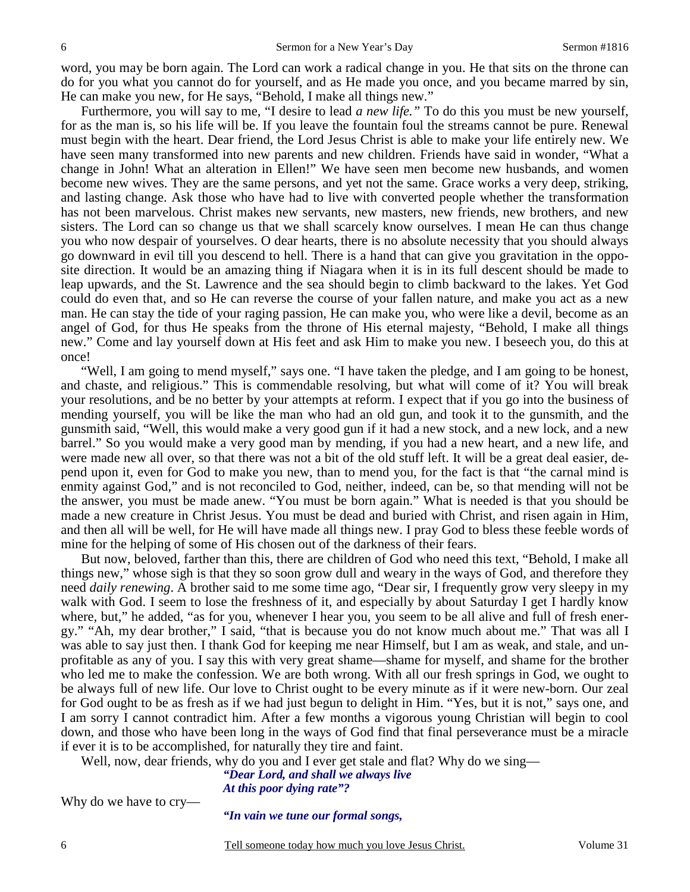word, you may be born again. The Lord can work a radical change in you. He that sits on the throne can do for you what you cannot do for yourself, and as He made you once, and you became marred by sin, He can make you new, for He says, "Behold, I make all things new."

 Furthermore, you will say to me, "I desire to lead *a new life."* To do this you must be new yourself, for as the man is, so his life will be. If you leave the fountain foul the streams cannot be pure. Renewal must begin with the heart. Dear friend, the Lord Jesus Christ is able to make your life entirely new. We have seen many transformed into new parents and new children. Friends have said in wonder, "What a change in John! What an alteration in Ellen!" We have seen men become new husbands, and women become new wives. They are the same persons, and yet not the same. Grace works a very deep, striking, and lasting change. Ask those who have had to live with converted people whether the transformation has not been marvelous. Christ makes new servants, new masters, new friends, new brothers, and new sisters. The Lord can so change us that we shall scarcely know ourselves. I mean He can thus change you who now despair of yourselves. O dear hearts, there is no absolute necessity that you should always go downward in evil till you descend to hell. There is a hand that can give you gravitation in the opposite direction. It would be an amazing thing if Niagara when it is in its full descent should be made to leap upwards, and the St. Lawrence and the sea should begin to climb backward to the lakes. Yet God could do even that, and so He can reverse the course of your fallen nature, and make you act as a new man. He can stay the tide of your raging passion, He can make you, who were like a devil, become as an angel of God, for thus He speaks from the throne of His eternal majesty, "Behold, I make all things new." Come and lay yourself down at His feet and ask Him to make you new. I beseech you, do this at once!

 "Well, I am going to mend myself," says one. "I have taken the pledge, and I am going to be honest, and chaste, and religious." This is commendable resolving, but what will come of it? You will break your resolutions, and be no better by your attempts at reform. I expect that if you go into the business of mending yourself, you will be like the man who had an old gun, and took it to the gunsmith, and the gunsmith said, "Well, this would make a very good gun if it had a new stock, and a new lock, and a new barrel." So you would make a very good man by mending, if you had a new heart, and a new life, and were made new all over, so that there was not a bit of the old stuff left. It will be a great deal easier, depend upon it, even for God to make you new, than to mend you, for the fact is that "the carnal mind is enmity against God," and is not reconciled to God, neither, indeed, can be, so that mending will not be the answer, you must be made anew. "You must be born again." What is needed is that you should be made a new creature in Christ Jesus. You must be dead and buried with Christ, and risen again in Him, and then all will be well, for He will have made all things new. I pray God to bless these feeble words of mine for the helping of some of His chosen out of the darkness of their fears.

 But now, beloved, farther than this, there are children of God who need this text, "Behold, I make all things new," whose sigh is that they so soon grow dull and weary in the ways of God, and therefore they need *daily renewing*. A brother said to me some time ago, "Dear sir, I frequently grow very sleepy in my walk with God. I seem to lose the freshness of it, and especially by about Saturday I get I hardly know where, but," he added, "as for you, whenever I hear you, you seem to be all alive and full of fresh energy." "Ah, my dear brother," I said, "that is because you do not know much about me." That was all I was able to say just then. I thank God for keeping me near Himself, but I am as weak, and stale, and unprofitable as any of you. I say this with very great shame—shame for myself, and shame for the brother who led me to make the confession. We are both wrong. With all our fresh springs in God, we ought to be always full of new life. Our love to Christ ought to be every minute as if it were new-born. Our zeal for God ought to be as fresh as if we had just begun to delight in Him. "Yes, but it is not," says one, and I am sorry I cannot contradict him. After a few months a vigorous young Christian will begin to cool down, and those who have been long in the ways of God find that final perseverance must be a miracle if ever it is to be accomplished, for naturally they tire and faint.

Well, now, dear friends, why do you and I ever get stale and flat? Why do we sing—

*"Dear Lord, and shall we always live At this poor dying rate"?* 

Why do we have to cry—

*"In vain we tune our formal songs,*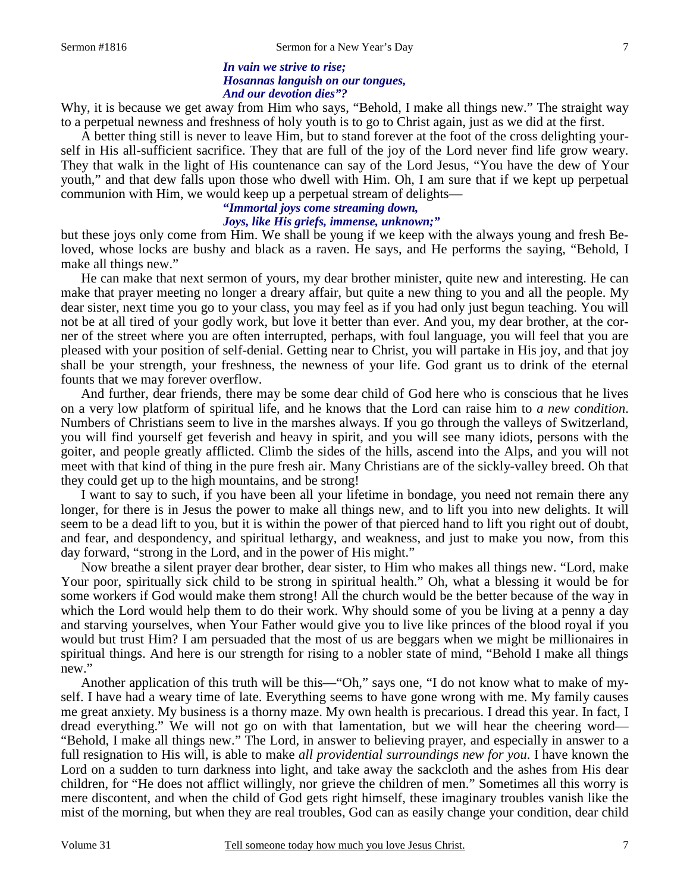### *In vain we strive to rise; Hosannas languish on our tongues, And our devotion dies"?*

Why, it is because we get away from Him who says, "Behold, I make all things new." The straight way to a perpetual newness and freshness of holy youth is to go to Christ again, just as we did at the first.

 A better thing still is never to leave Him, but to stand forever at the foot of the cross delighting yourself in His all-sufficient sacrifice. They that are full of the joy of the Lord never find life grow weary. They that walk in the light of His countenance can say of the Lord Jesus, "You have the dew of Your youth," and that dew falls upon those who dwell with Him. Oh, I am sure that if we kept up perpetual communion with Him, we would keep up a perpetual stream of delights—

# **"***Immortal joys come streaming down, Joys, like His griefs, immense, unknown;"*

but these joys only come from Him. We shall be young if we keep with the always young and fresh Beloved, whose locks are bushy and black as a raven. He says, and He performs the saying, "Behold, I make all things new."

 He can make that next sermon of yours, my dear brother minister, quite new and interesting. He can make that prayer meeting no longer a dreary affair, but quite a new thing to you and all the people. My dear sister, next time you go to your class, you may feel as if you had only just begun teaching. You will not be at all tired of your godly work, but love it better than ever. And you, my dear brother, at the corner of the street where you are often interrupted, perhaps, with foul language, you will feel that you are pleased with your position of self-denial. Getting near to Christ, you will partake in His joy, and that joy shall be your strength, your freshness, the newness of your life. God grant us to drink of the eternal founts that we may forever overflow.

 And further, dear friends, there may be some dear child of God here who is conscious that he lives on a very low platform of spiritual life, and he knows that the Lord can raise him to *a new condition*. Numbers of Christians seem to live in the marshes always. If you go through the valleys of Switzerland, you will find yourself get feverish and heavy in spirit, and you will see many idiots, persons with the goiter, and people greatly afflicted. Climb the sides of the hills, ascend into the Alps, and you will not meet with that kind of thing in the pure fresh air. Many Christians are of the sickly-valley breed. Oh that they could get up to the high mountains, and be strong!

 I want to say to such, if you have been all your lifetime in bondage, you need not remain there any longer, for there is in Jesus the power to make all things new, and to lift you into new delights. It will seem to be a dead lift to you, but it is within the power of that pierced hand to lift you right out of doubt, and fear, and despondency, and spiritual lethargy, and weakness, and just to make you now, from this day forward, "strong in the Lord, and in the power of His might."

 Now breathe a silent prayer dear brother, dear sister, to Him who makes all things new. "Lord, make Your poor, spiritually sick child to be strong in spiritual health." Oh, what a blessing it would be for some workers if God would make them strong! All the church would be the better because of the way in which the Lord would help them to do their work. Why should some of you be living at a penny a day and starving yourselves, when Your Father would give you to live like princes of the blood royal if you would but trust Him? I am persuaded that the most of us are beggars when we might be millionaires in spiritual things. And here is our strength for rising to a nobler state of mind, "Behold I make all things new."

 Another application of this truth will be this—"Oh," says one, "I do not know what to make of myself. I have had a weary time of late. Everything seems to have gone wrong with me. My family causes me great anxiety. My business is a thorny maze. My own health is precarious. I dread this year. In fact, I dread everything." We will not go on with that lamentation, but we will hear the cheering word— "Behold, I make all things new." The Lord, in answer to believing prayer, and especially in answer to a full resignation to His will, is able to make *all providential surroundings new for you*. I have known the Lord on a sudden to turn darkness into light, and take away the sackcloth and the ashes from His dear children, for "He does not afflict willingly, nor grieve the children of men." Sometimes all this worry is mere discontent, and when the child of God gets right himself, these imaginary troubles vanish like the mist of the morning, but when they are real troubles, God can as easily change your condition, dear child